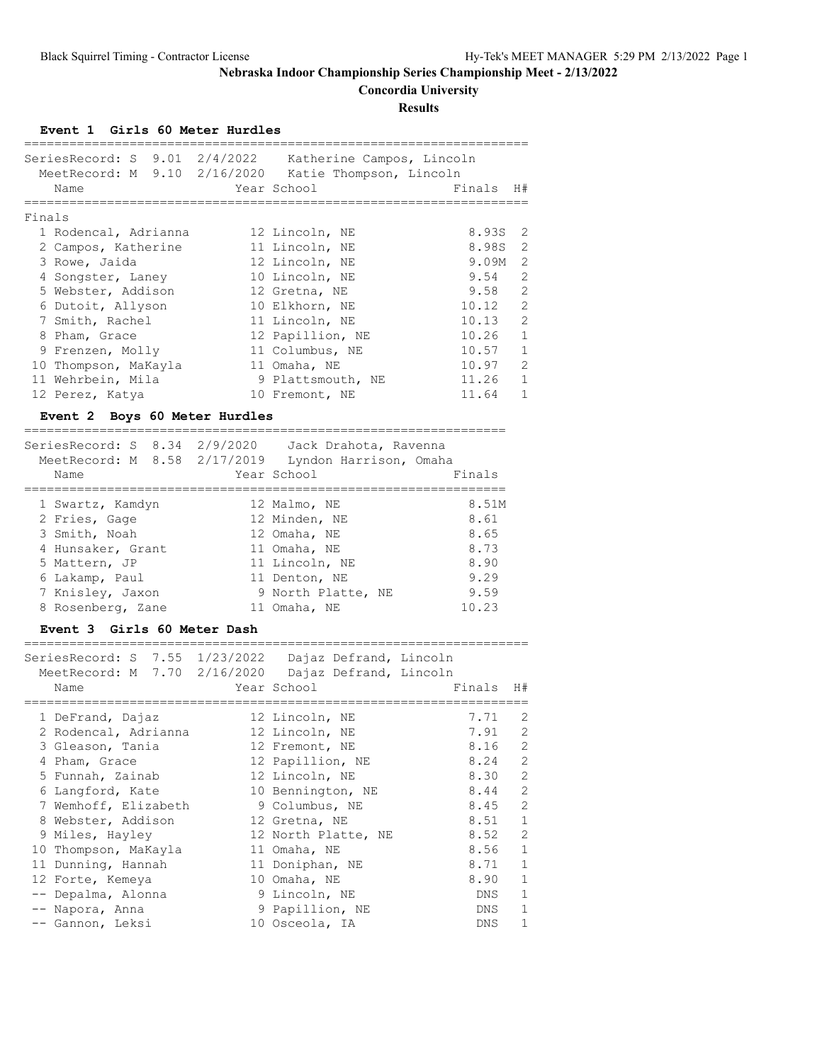**Concordia University**

**Results**

**Event 1 Girls 60 Meter Hurdles**

| ========                                                                                                        |                              |
|-----------------------------------------------------------------------------------------------------------------|------------------------------|
| SeriesRecord: S 9.01 2/4/2022 Katherine Campos, Lincoln<br>MeetRecord: M 9.10 2/16/2020 Katie Thompson, Lincoln |                              |
| Year School<br>Name<br>============================                                                             | Finals<br>H#                 |
| Finals                                                                                                          |                              |
| 1 Rodencal, Adrianna<br>12 Lincoln, NE                                                                          | 8.93S<br>2                   |
| 2 Campos, Katherine<br>11 Lincoln, NE                                                                           | $\overline{2}$<br>8.98S      |
| 3 Rowe, Jaida<br>12 Lincoln, NE                                                                                 | $\overline{c}$<br>9.09M      |
| 4 Songster, Laney<br>10 Lincoln, NE                                                                             | $\overline{2}$<br>9.54       |
| 5 Webster, Addison<br>12 Gretna, NE                                                                             | $\overline{c}$<br>9.58       |
| 6 Dutoit, Allyson<br>10 Elkhorn, NE                                                                             | $\overline{c}$<br>10.12      |
| 7 Smith, Rachel<br>11 Lincoln, NE                                                                               | $\overline{c}$<br>10.13      |
| 8 Pham, Grace<br>12 Papillion, NE                                                                               | $\mathbf{1}$<br>10.26        |
| 9 Frenzen, Molly<br>11 Columbus, NE                                                                             | $\mathbf{1}$<br>10.57        |
| 10 Thompson, MaKayla<br>11 Omaha, NE                                                                            | $\overline{c}$<br>10.97      |
| 11 Wehrbein, Mila<br>9 Plattsmouth, NE                                                                          | $\mathbf{1}$<br>11.26        |
| 12 Perez, Katya<br>10 Fremont, NE                                                                               | $\mathbf{1}$<br>11.64        |
| Event 2 Boys 60 Meter Hurdles                                                                                   |                              |
| SeriesRecord: S 8.34 2/9/2020 Jack Drahota, Ravenna                                                             | ---------------------------- |
| MeetRecord: M 8.58 2/17/2019 Lyndon Harrison, Omaha                                                             |                              |
| Year School<br>Name                                                                                             | Finals                       |
|                                                                                                                 |                              |
| 12 Malmo, NE<br>1 Swartz, Kamdyn                                                                                | 8.51M                        |
| 2 Fries, Gage<br>12 Minden, NE                                                                                  | 8.61                         |
| 3 Smith, Noah<br>12 Omaha, NE                                                                                   | 8.65                         |
| 4 Hunsaker, Grant 11 Omaha, NE                                                                                  | 8.73                         |
| 5 Mattern, JP<br>11 Lincoln, NE                                                                                 | 8.90                         |
| 11 Denton, NE<br>6 Lakamp, Paul                                                                                 | 9.29                         |
| 7 Knisley, Jaxon<br>9 North Platte, NE                                                                          | 9.59                         |
|                                                                                                                 |                              |
| 8 Rosenberg, Zane<br>11 Omaha, NE                                                                               | 10.23                        |
| Event 3 Girls 60 Meter Dash                                                                                     |                              |

| pertespecord, b 1,00 1/20/2022 Dajaz Defrand, hincorn |                     |           |                |
|-------------------------------------------------------|---------------------|-----------|----------------|
| MeetRecord: M 7.70 2/16/2020 Dajaz Defrand, Lincoln   |                     |           |                |
| Name                                                  | Year School         | Finals H# |                |
|                                                       |                     |           |                |
| 1 DeFrand, Dajaz                                      | 12 Lincoln, NE      | 7.71      | 2              |
| 2 Rodencal, Adrianna                                  | 12 Lincoln, NE      | 7.91      | 2              |
| 3 Gleason, Tania                                      | 12 Fremont, NE      | 8.16      | 2              |
| 4 Pham, Grace                                         | 12 Papillion, NE    | 8.24      | 2              |
| 5 Funnah, Zainab                                      | 12 Lincoln, NE      | 8.30      | $\overline{2}$ |
| 6 Langford, Kate                                      | 10 Bennington, NE   | 8.44      | $\overline{2}$ |
| 7 Wemhoff, Elizabeth                                  | 9 Columbus, NE      | 8.45 2    |                |
| 8 Webster, Addison                                    | 12 Gretna, NE       | 8.51      | $\overline{1}$ |
| 9 Miles, Hayley                                       | 12 North Platte, NE | 8.52      | 2              |
| 10 Thompson, MaKayla                                  | 11 Omaha, NE        | 8.56      | $\mathbf{1}$   |
| 11 Dunning, Hannah                                    | 11 Doniphan, NE     | 8.71      | $\mathbf{1}$   |
| 12 Forte, Kemeya                                      | 10 Omaha, NE        | 8.90      | $\mathbf{1}$   |
| -- Depalma, Alonna                                    | 9 Lincoln, NE       | DNS       | 1              |
| -- Napora, Anna                                       | 9 Papillion, NE     | DNS       | $\mathbf{1}$   |
| -- Gannon, Leksi                                      | 10 Osceola, IA      | DNS.      | $\mathbf{1}$   |
|                                                       |                     |           |                |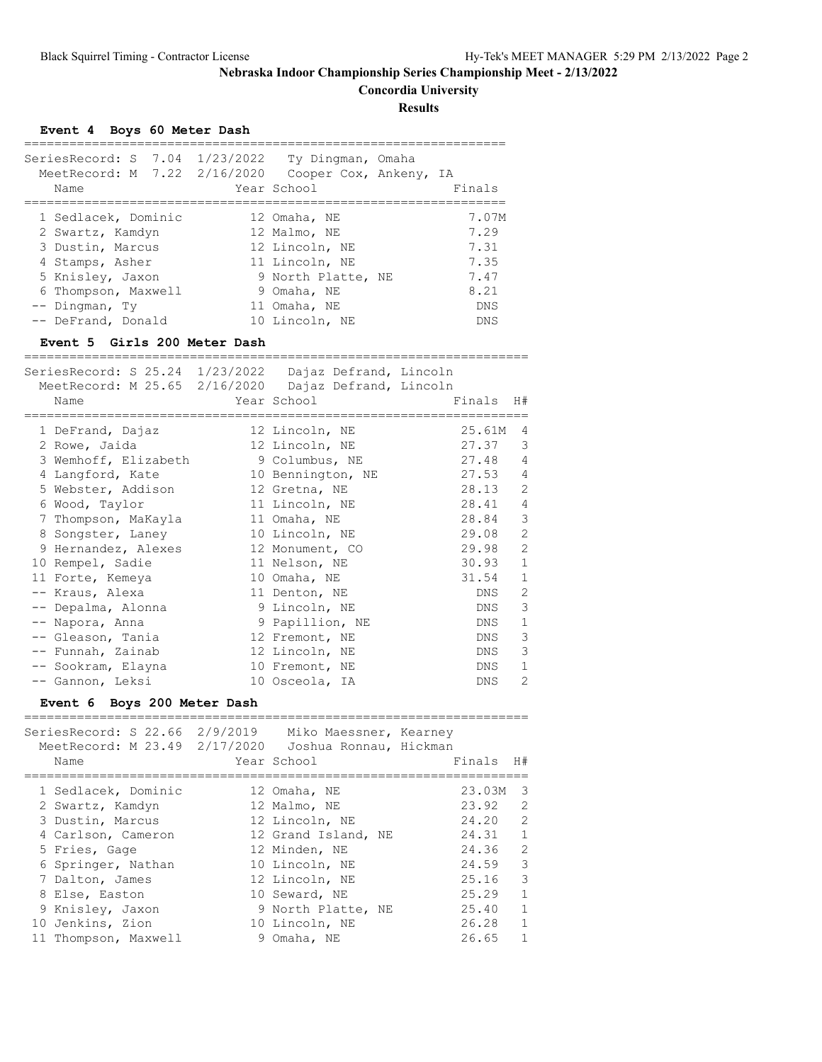**Concordia University**

**Results**

#### **Event 4 Boys 60 Meter Dash**

| SeriesRecord: S 7.04 1/23/2022<br>MeetRecord: M 7.22 2/16/2020<br>Name                                                    | Ty Dingman, Omaha<br>Cooper Cox, Ankeny, IA<br>Year School                                            | Finals                                        |
|---------------------------------------------------------------------------------------------------------------------------|-------------------------------------------------------------------------------------------------------|-----------------------------------------------|
| 1 Sedlacek, Dominic<br>2 Swartz, Kamdyn<br>3 Dustin, Marcus<br>4 Stamps, Asher<br>5 Knisley, Jaxon<br>6 Thompson, Maxwell | 12 Omaha, NE<br>12 Malmo, NE<br>12 Lincoln, NE<br>11 Lincoln, NE<br>9 North Platte, NE<br>9 Omaha, NE | 7.07M<br>7.29<br>7.31<br>7.35<br>7.47<br>8.21 |
| -- Dingman, Ty<br>-- DeFrand, Donald                                                                                      | 11 Omaha, NE<br>10 Lincoln, NE                                                                        | DNS<br><b>DNS</b>                             |

#### **Event 5 Girls 200 Meter Dash**

=================================================================== SeriesRecord: S 25.24 1/23/2022 Dajaz Defrand, Lincoln MeetRecord: M 25.65 2/16/2020 Dajaz Defrand, Lincoln

| Name                 | Year School and the School | Finals  | H#             |
|----------------------|----------------------------|---------|----------------|
| 1 DeFrand, Dajaz     | 12 Lincoln, NE             | 25.61M  | 4              |
| 2 Rowe, Jaida        | 12 Lincoln, NE             | 27.37   | 3              |
| 3 Wemhoff, Elizabeth | 9 Columbus, NE             | 27.48   | 4              |
| 4 Langford, Kate     | 10 Bennington, NE          | 27.53   | $\overline{4}$ |
| 5 Webster, Addison   | 12 Gretna, NE              | 28.13   | 2              |
| 6 Wood, Taylor       | 11 Lincoln, NE             | 28.41 4 |                |
| 7 Thompson, MaKayla  | 11 Omaha, NE               | 28.84 3 |                |
| 8 Songster, Laney    | 10 Lincoln, NE             | 29.08   | 2              |
| 9 Hernandez, Alexes  | 12 Monument, CO            | 29.98   | $\mathbf{2}$   |
| 10 Rempel, Sadie     | 11 Nelson, NE              | 30.93   | $\mathbf{1}$   |
| 11 Forte, Kemeya     | 10 Omaha, NE               | 31.54   | $\mathbf{1}$   |
| -- Kraus, Alexa      | 11 Denton, NE              | DNS     | 2              |
| -- Depalma, Alonna   | 9 Lincoln, NE              | DNS     | 3              |
| -- Napora, Anna      | 9 Papillion, NE            | DNS     | 1              |
| -- Gleason, Tania    | 12 Fremont, NE             | DNS     | 3              |
| -- Funnah, Zainab    | 12 Lincoln, NE             | DNS     | 3              |
| -- Sookram, Elayna   | 10 Fremont, NE             | DNS     | 1              |
| -- Gannon, Leksi     | 10 Osceola, IA             | DNS     | 2              |

#### **Event 6 Boys 200 Meter Dash**

| Name |                                                                                                                                                                                                                               | Miko Maessner, Kearney | Finals<br>H#                                                                                                                                                                                                                                                                                                |
|------|-------------------------------------------------------------------------------------------------------------------------------------------------------------------------------------------------------------------------------|------------------------|-------------------------------------------------------------------------------------------------------------------------------------------------------------------------------------------------------------------------------------------------------------------------------------------------------------|
|      |                                                                                                                                                                                                                               |                        | 23.03M<br>3                                                                                                                                                                                                                                                                                                 |
|      |                                                                                                                                                                                                                               |                        | $\mathcal{L}$<br>23.92                                                                                                                                                                                                                                                                                      |
|      |                                                                                                                                                                                                                               |                        | $\mathcal{L}$<br>24.20                                                                                                                                                                                                                                                                                      |
|      |                                                                                                                                                                                                                               |                        | $\mathbf{1}$<br>24.31                                                                                                                                                                                                                                                                                       |
|      |                                                                                                                                                                                                                               |                        | 2<br>24.36                                                                                                                                                                                                                                                                                                  |
|      |                                                                                                                                                                                                                               |                        | 3<br>24.59                                                                                                                                                                                                                                                                                                  |
|      |                                                                                                                                                                                                                               |                        | 3<br>25.16                                                                                                                                                                                                                                                                                                  |
|      |                                                                                                                                                                                                                               |                        | 1<br>25.29                                                                                                                                                                                                                                                                                                  |
|      |                                                                                                                                                                                                                               |                        | $\mathbf{1}$<br>25.40                                                                                                                                                                                                                                                                                       |
|      |                                                                                                                                                                                                                               |                        | $\mathbf{1}$<br>26.28                                                                                                                                                                                                                                                                                       |
|      |                                                                                                                                                                                                                               |                        | 1<br>26.65                                                                                                                                                                                                                                                                                                  |
|      | 1 Sedlacek, Dominic<br>2 Swartz, Kamdyn<br>3 Dustin, Marcus<br>4 Carlson, Cameron<br>5 Fries, Gage<br>6 Springer, Nathan<br>7 Dalton, James<br>8 Else, Easton<br>9 Knisley, Jaxon<br>10 Jenkins, Zion<br>11 Thompson, Maxwell |                        | SeriesRecord: S 22.66 2/9/2019<br>MeetRecord: M 23.49 2/17/2020 Joshua Ronnau, Hickman<br>Year School<br>12 Omaha, NE<br>12 Malmo, NE<br>12 Lincoln, NE<br>12 Grand Island, NE<br>12 Minden, NE<br>10 Lincoln, NE<br>12 Lincoln, NE<br>10 Seward, NE<br>9 North Platte, NE<br>10 Lincoln, NE<br>9 Omaha, NE |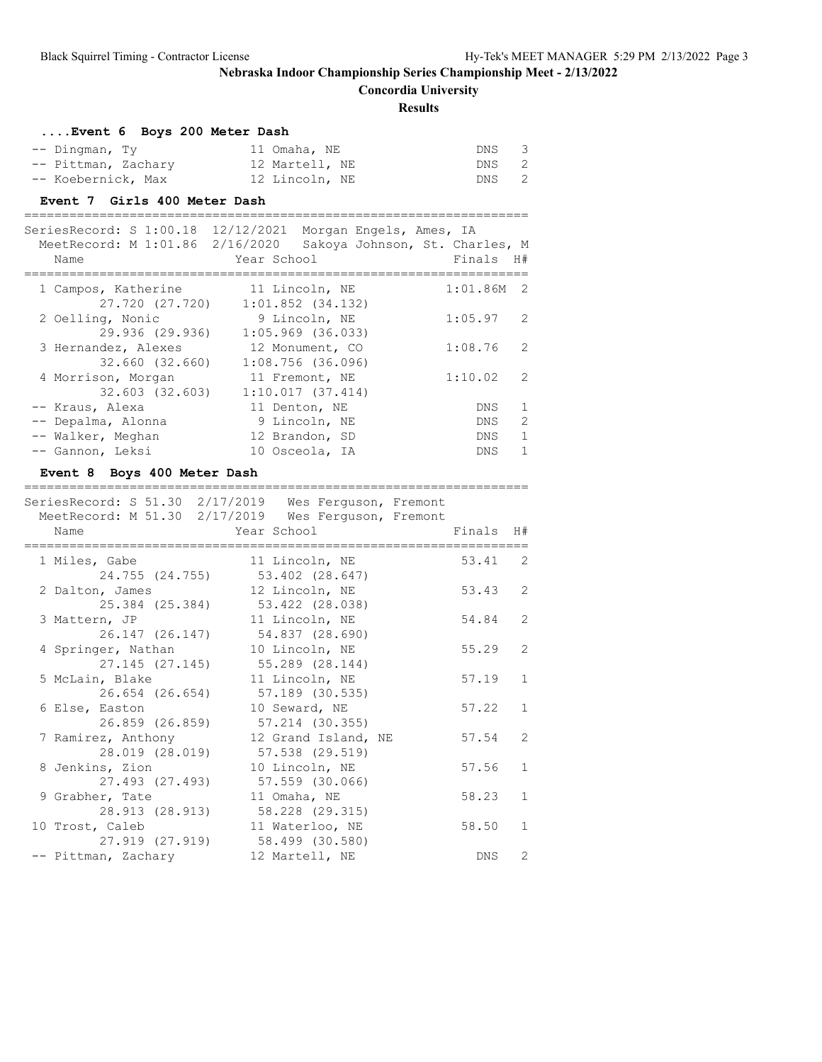**Concordia University**

===================================================================

#### **Results**

| Event 6 Boys 200 Meter Dash |                |       |  |
|-----------------------------|----------------|-------|--|
| $--$ Dingman, Ty            | 11 Omaha, NE   | DNS 3 |  |
| -- Pittman, Zachary         | 12 Martell, NE | DNS 2 |  |
| -- Koebernick, Max          | 12 Lincoln, NE | DNS 2 |  |

## **Event 7 Girls 400 Meter Dash**

| SeriesRecord: S 1:00.18<br>MeetRecord: M 1:01.86 2/16/2020<br>Name | 12/12/2021<br>Morgan Engels, Ames, IA<br>Year School | Sakoya Johnson, St. Charles, M<br>Finals H# |
|--------------------------------------------------------------------|------------------------------------------------------|---------------------------------------------|
| 1 Campos, Katherine<br>27.720 (27.720)                             | 11 Lincoln, NE<br>$1:01.852$ $(34.132)$              | 1:01.86M<br>- 2                             |
| 2 Oelling, Nonic<br>29.936 (29.936)                                | 9 Lincoln, NE<br>$1:05.969$ $(36.033)$               | 1:05.97<br>2                                |
| 3 Hernandez, Alexes<br>32.660 (32.660)                             | 12 Monument, CO<br>$1:08.756$ (36.096)               | 1:08.76<br>2                                |
| 4 Morrison, Morgan<br>32.603 (32.603)                              | 11 Fremont, NE<br>1:10.017(37.414)                   | 1:10.02<br>2                                |
| -- Kraus, Alexa                                                    | 11 Denton, NE                                        | 1<br>DNS                                    |
| -- Depalma, Alonna                                                 | 9 Lincoln, NE                                        | $\mathcal{L}$<br><b>DNS</b>                 |
| -- Walker, Meghan                                                  | 12 Brandon, SD                                       | $\mathbf{1}$<br>DNS.                        |
| -- Gannon, Leksi                                                   | 10 Osceola, IA                                       | 1<br><b>DNS</b>                             |

#### **Event 8 Boys 400 Meter Dash**

|                                                       | SeriesRecord: S 51.30 2/17/2019 Wes Ferquson, Fremont<br>MeetRecord: M 51.30 2/17/2019 Wes Ferguson, Fremont |            |                |
|-------------------------------------------------------|--------------------------------------------------------------------------------------------------------------|------------|----------------|
| Name<br>=========================                     | Year School and the School                                                                                   | Finals     | H#             |
| 1 Miles, Gabe                                         | 11 Lincoln, NE                                                                                               | 53.41 2    |                |
| 2 Dalton, James                                       | 24.755 (24.755) 53.402 (28.647)<br>12 Lincoln, NE                                                            | 53.43      | 2              |
| 25.384 (25.384) 53.422 (28.038)<br>3 Mattern, JP      | 11 Lincoln, NE                                                                                               | 54.84      | $\overline{2}$ |
|                                                       | 26.147 (26.147) 54.837 (28.690)                                                                              |            |                |
| 4 Springer, Nathan<br>27.145 (27.145) 55.289 (28.144) | 10 Lincoln, NE                                                                                               | 55.29      | $\overline{2}$ |
| 5 McLain, Blake<br>26.654 (26.654)                    | 11 Lincoln, NE<br>57.189 (30.535)                                                                            | 57.19      | $\mathbf{1}$   |
| 6 Else, Easton                                        | 10 Seward, NE                                                                                                | 57.22      | $\mathbf{1}$   |
| 26.859 (26.859)<br>7 Ramirez, Anthony                 | 57.214 (30.355)<br>12 Grand Island, NE                                                                       | 57.54      | $\mathcal{L}$  |
| 28.019 (28.019)<br>8 Jenkins, Zion                    | 57.538 (29.519)<br>10 Lincoln, NE                                                                            | 57.56      | $\mathbf{1}$   |
| 27.493 (27.493)<br>9 Grabher, Tate                    | 57.559 (30.066)<br>11 Omaha, NE                                                                              | 58.23      | $\mathbf{1}$   |
| 28.913 (28.913)                                       | 58.228 (29.315)                                                                                              |            |                |
| 10 Trost, Caleb<br>27.919 (27.919)                    | 11 Waterloo, NE<br>58.499 (30.580)                                                                           | 58.50      | $\mathbf{1}$   |
| -- Pittman, Zachary                                   | 12 Martell, NE                                                                                               | <b>DNS</b> | $\overline{2}$ |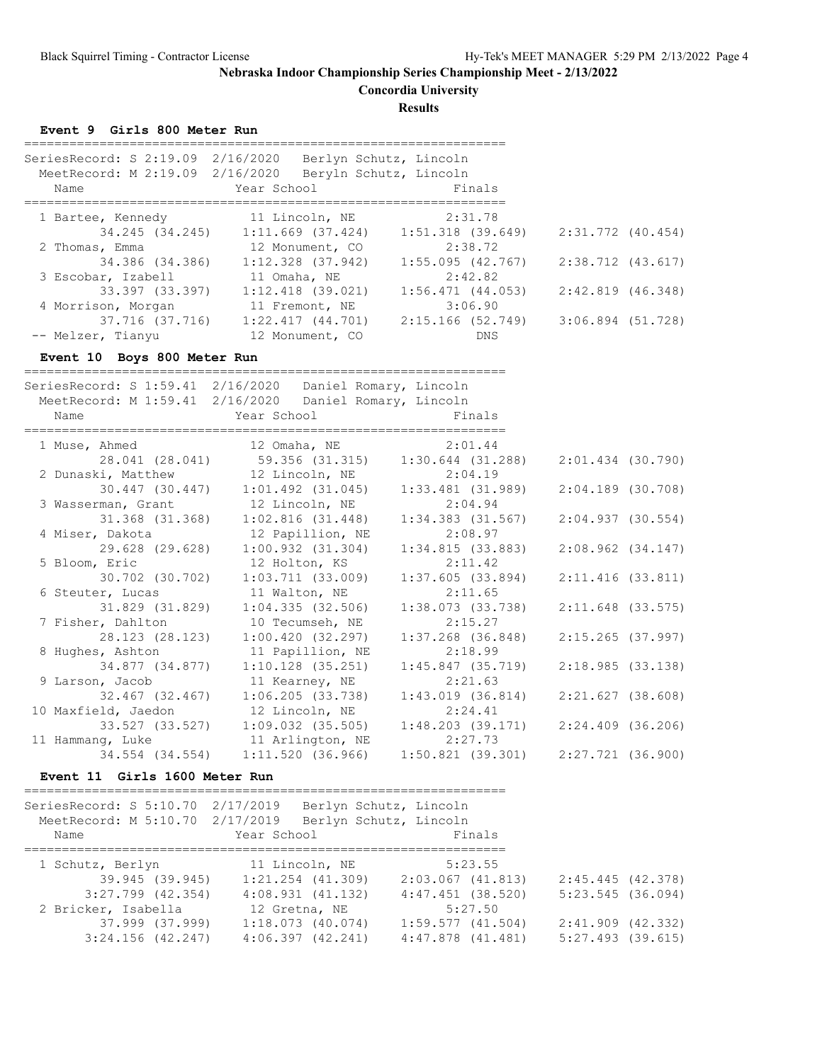**Concordia University**

**Results**

**Event 9 Girls 800 Meter Run**

| SeriesRecord: S 2:19.09<br>MeetRecord: M 2:19.09 2/16/2020<br>Name | 2/16/2020<br>Berlyn Schutz, Lincoln<br>Beryln Schutz, Lincoln<br>Year School | Finals                |                   |
|--------------------------------------------------------------------|------------------------------------------------------------------------------|-----------------------|-------------------|
|                                                                    |                                                                              |                       |                   |
| 1 Bartee, Kennedy                                                  | 11 Lincoln, NE                                                               | 2:31.78               |                   |
| 34.245 (34.245)                                                    | $1:11.669$ (37.424)                                                          | $1:51.318$ (39.649)   | 2:31.772 (40.454) |
| 2 Thomas, Emma                                                     | 12 Monument, CO                                                              | 2:38.72               |                   |
| 34.386 (34.386)                                                    | $1:12.328$ $(37.942)$                                                        | 1:55.095(42.767)      | 2:38.712 (43.617) |
| 3 Escobar, Izabell                                                 | 11 Omaha, NE                                                                 | 2:42.82               |                   |
| 33.397 (33.397)                                                    | $1:12.418$ (39.021)                                                          | $1:56.471$ $(44.053)$ | 2:42.819 (46.348) |
| 4 Morrison, Morgan                                                 | 11 Fremont, NE                                                               | 3:06.90               |                   |
| 37.716 (37.716)                                                    | $1:22.417$ $(44.701)$                                                        | 2:15.166 (52.749)     | 3:06.894 (51.728) |
| -- Melzer, Tianyu                                                  | 12 Monument, CO                                                              | DNS                   |                   |

#### **Event 10 Boys 800 Meter Run**

================================================================ SeriesRecord: S 1:59.41 2/16/2020 Daniel Romary, Lincoln MeetRecord: M 1:59.41 2/16/2020 Daniel Romary, Lincoln Name **Year School** Finals ================================================================ 1 Muse, Ahmed 12 Omaha, NE 2:01.44 28.041 (28.041) 59.356 (31.315) 1:30.644 (31.288) 2:01.434 (30.790) 2 Dunaski, Matthew 12 Lincoln, NE 2:04.19 30.447 (30.447) 1:01.492 (31.045) 1:33.481 (31.989) 2:04.189 (30.708) 3 Wasserman, Grant 12 Lincoln, NE 2:04.94 31.368 (31.368) 1:02.816 (31.448) 1:34.383 (31.567) 2:04.937 (30.554) 4 Miser, Dakota 12 Papillion, NE 2:08.97 29.628 (29.628) 1:00.932 (31.304) 1:34.815 (33.883) 2:08.962 (34.147) 5 Bloom, Eric 12 Holton, KS 2:11.42 30.702 (30.702) 1:03.711 (33.009) 1:37.605 (33.894) 2:11.416 (33.811) 6 Steuter, Lucas 11 Walton, NE 2:11.65 31.829 (31.829) 1:04.335 (32.506) 1:38.073 (33.738) 2:11.648 (33.575) 7 Fisher, Dahlton 10 Tecumseh, NE 2:15.27 28.123 (28.123) 1:00.420 (32.297) 1:37.268 (36.848) 2:15.265 (37.997) 8 Hughes, Ashton 11 Papillion, NE 2:18.99 34.877 (34.877) 1:10.128 (35.251) 1:45.847 (35.719) 2:18.985 (33.138) 9 Larson, Jacob 11 Kearney, NE 2:21.63 32.467 (32.467) 1:06.205 (33.738) 1:43.019 (36.814) 2:21.627 (38.608) 10 Maxfield, Jaedon 12 Lincoln, NE 2:24.41 33.527 (33.527) 1:09.032 (35.505) 1:48.203 (39.171) 2:24.409 (36.206) 11 Hammang, Luke 11 Arlington, NE 2:27.73 34.554 (34.554) 1:11.520 (36.966) 1:50.821 (39.301) 2:27.721 (36.900)

#### **Event 11 Girls 1600 Meter Run**

================================================================

| SeriesRecord: S 5:10.70 2/17/2019<br>MeetRecord: M 5:10.70 2/17/2019 |                       |                                 | Berlyn Schutz, Lincoln<br>Berlyn Schutz, Lincoln |                     |
|----------------------------------------------------------------------|-----------------------|---------------------------------|--------------------------------------------------|---------------------|
| Name                                                                 |                       | Year School                     | Finals                                           |                     |
|                                                                      |                       | 1 Schutz, Berlyn 11 Lincoln, NE | 5:23.55                                          |                     |
|                                                                      | 39.945 (39.945)       | $1:21.254$ $(41.309)$           | 2:03.067 (41.813)                                | 2:45.445 (42.378)   |
|                                                                      | $3:27.799$ $(42.354)$ | 4:08.931(41.132)                | $4:47.451$ (38.520)                              | $5:23.545$ (36.094) |
| 2 Bricker, Isabella                                                  |                       | 12 Gretna, NE                   | 5:27.50                                          |                     |
|                                                                      | 37.999 (37.999)       | 1:18.073(40.074)                | 1:59.577(41.504)                                 | $2:41.909$ (42.332) |
|                                                                      | 3:24.156(42.247)      | 4:06.397(42.241)                | $4:47.878$ $(41.481)$                            | $5:27.493$ (39.615) |
|                                                                      |                       |                                 |                                                  |                     |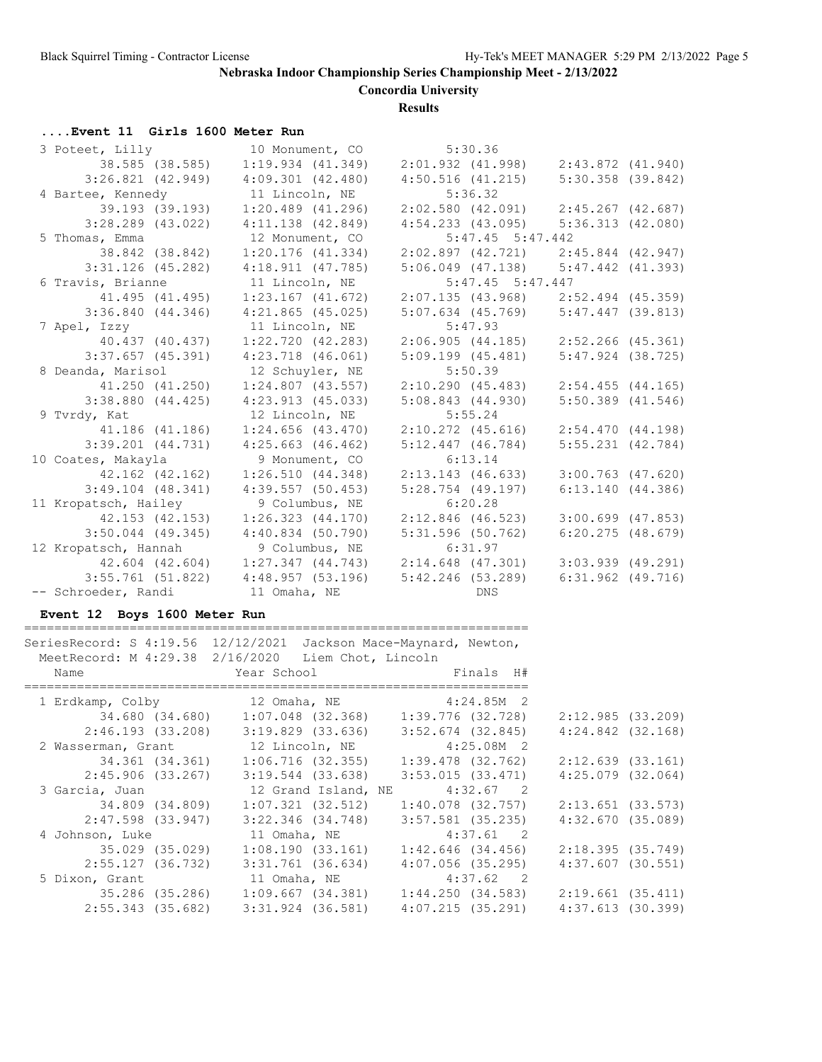**Concordia University**

#### **Results**

### **....Event 11 Girls 1600 Meter Run**

| 3 Poteet, Lilly       | 10 Monument, CO       | 5:30.36                                 |                       |
|-----------------------|-----------------------|-----------------------------------------|-----------------------|
| 38.585 (38.585)       | 1:19.934(41.349)      | 2:01.932 (41.998)                       | 2:43.872 (41.940)     |
| 3:26.821(42.949)      | $4:09.301$ $(42.480)$ | $4:50.516$ $(41.215)$                   | $5:30.358$ $(39.842)$ |
| 4 Bartee, Kennedy     | 11 Lincoln, NE        | 5:36.32                                 |                       |
| 39.193 (39.193)       | $1:20.489$ (41.296)   | $2:02.580$ (42.091) $2:45.267$ (42.687) |                       |
| $3:28.289$ $(43.022)$ | $4:11.138$ $(42.849)$ | $4:54.233$ (43.095) $5:36.313$ (42.080) |                       |
| 5 Thomas, Emma        | 12 Monument, CO       | $5:47.45$ $5:47.442$                    |                       |
| 38.842 (38.842)       | 1:20.176(41.334)      | $2:02.897$ (42.721) $2:45.844$ (42.947) |                       |
| $3:31.126$ (45.282)   | $4:18.911$ $(47.785)$ | $5:06.049$ $(47.138)$                   | $5:47.442$ $(41.393)$ |
| 6 Travis, Brianne     | 11 Lincoln, NE        | $5:47.45$ $5:47.447$                    |                       |
| 41.495 (41.495)       | $1:23.167$ $(41.672)$ | $2:07.135$ (43.968) $2:52.494$ (45.359) |                       |
| 3:36.840(44.346)      | $4:21.865$ (45.025)   | $5:07.634$ (45.769)                     | 5:47.447(39.813)      |
| 7 Apel, Izzy          | 11 Lincoln, NE        | 5:47.93                                 |                       |
| 40.437 (40.437)       | $1:22.720$ $(42.283)$ | 2:06.905(44.185)                        | 2:52.266 (45.361)     |
| $3:37.657$ (45.391)   | $4:23.718$ $(46.061)$ | 5:09.199(45.481)                        | $5:47.924$ (38.725)   |
| 8 Deanda, Marisol     | 12 Schuyler, NE       | 5:50.39                                 |                       |
| 41.250 (41.250)       | $1:24.807$ $(43.557)$ | 2:10.290(45.483)                        | $2:54.455$ (44.165)   |
| $3:38.880$ $(44.425)$ | $4:23.913$ $(45.033)$ | $5:08.843$ $(44.930)$                   | $5:50.389$ $(41.546)$ |
| 9 Tvrdy, Kat          | 12 Lincoln, NE        | 5:55.24                                 |                       |
| 41.186 (41.186)       | $1:24.656$ $(43.470)$ | $2:10.272$ (45.616)                     | 2:54.470(44.198)      |
| $3:39.201$ $(44.731)$ | 4:25.663(46.462)      | $5:12.447$ (46.784)                     | $5:55.231$ $(42.784)$ |
| 10 Coates, Makayla    | 9 Monument, CO        | 6:13.14                                 |                       |
| 42.162 (42.162)       | 1:26.510(44.348)      | 2:13.143(46.633)                        | $3:00.763$ $(47.620)$ |
| $3:49.104$ $(48.341)$ | $4:39.557$ (50.453)   | $5:28.754$ (49.197)                     | 6:13.140(44.386)      |
| 11 Kropatsch, Hailey  | 9 Columbus, NE        | 6:20.28                                 |                       |
| 42.153 (42.153)       | 1:26.323(44.170)      | $2:12.846$ (46.523)                     | $3:00.699$ (47.853)   |
| $3:50.044$ (49.345)   | $4:40.834$ (50.790)   | $5:31.596$ (50.762)                     | $6:20.275$ $(48.679)$ |
| 12 Kropatsch, Hannah  | 9 Columbus, NE        | 6:31.97                                 |                       |
| 42.604 (42.604)       | $1:27.347$ $(44.743)$ | 2:14.648 (47.301)                       | $3:03.939$ $(49.291)$ |
| $3:55.761$ (51.822)   | 4:48.957(53.196)      | $5:42.246$ (53.289)                     | $6:31.962$ $(49.716)$ |
| -- Schroeder, Randi   | 11 Omaha, NE          | <b>Example 19 DNS</b>                   |                       |

#### **Event 12 Boys 1600 Meter Run**

| SeriesRecord: S 4:19.56 12/12/2021 Jackson Mace-Maynard, Newton,<br>MeetRecord: M 4:29.38 2/16/2020 Liem Chot, Lincoln<br>Name |                                                       |                   |                     |                       |  |
|--------------------------------------------------------------------------------------------------------------------------------|-------------------------------------------------------|-------------------|---------------------|-----------------------|--|
|                                                                                                                                |                                                       |                   |                     |                       |  |
| 1 Erdkamp, Colby 12 Omaha, NE 4:24.85M 2                                                                                       |                                                       |                   |                     |                       |  |
|                                                                                                                                | 34.680 (34.680) 1:07.048 (32.368) 1:39.776 (32.728)   |                   |                     | 2:12.985(33.209)      |  |
|                                                                                                                                | $2:46.193$ (33.208) 3:19.829 (33.636)                 |                   | 3:52.674 (32.845)   | $4:24.842$ $(32.168)$ |  |
| 2 Wasserman, Grant 12 Lincoln, NE 4:25.08M 2                                                                                   |                                                       |                   |                     |                       |  |
|                                                                                                                                | 34.361 (34.361) 1:06.716 (32.355)                     | 1:39.478 (32.762) |                     | $2:12.639$ $(33.161)$ |  |
|                                                                                                                                | $2:45.906$ (33.267) 3:19.544 (33.638)                 |                   | 3:53.015 (33.471)   | $4:25.079$ $(32.064)$ |  |
| 3 Garcia, Juan                                                                                                                 | 12 Grand Island, NE                                   |                   | $4:32.67$ 2         |                       |  |
|                                                                                                                                |                                                       |                   |                     | $2:13.651$ (33.573)   |  |
| 2:47.598 (33.947)                                                                                                              | 3:22.346 (34.748)                                     |                   | 3:57.581 (35.235)   | 4:32.670(35.089)      |  |
| 4 Johnson, Luke                                                                                                                | 11 Omaha, NE                                          | $4:37.61$ 2       |                     |                       |  |
|                                                                                                                                | $35.029$ (35.029) 1:08.190 (33.161) 1:42.646 (34.456) |                   |                     | 2:18.395(35.749)      |  |
| 2:55.127 (36.732)                                                                                                              | 3:31.761 (36.634)                                     |                   | $4:07.056$ (35.295) | $4:37.607$ (30.551)   |  |
| 5 Dixon, Grant 11 Omaha, NE 4:37.62 2                                                                                          |                                                       |                   |                     |                       |  |
|                                                                                                                                | 35.286 (35.286) 1:09.667 (34.381)                     | 1:44.250 (34.583) |                     | 2:19.661 (35.411)     |  |
|                                                                                                                                | $2:55.343$ (35.682) 3:31.924 (36.581)                 | 4:07.215 (35.291) |                     | 4:37.613 (30.399)     |  |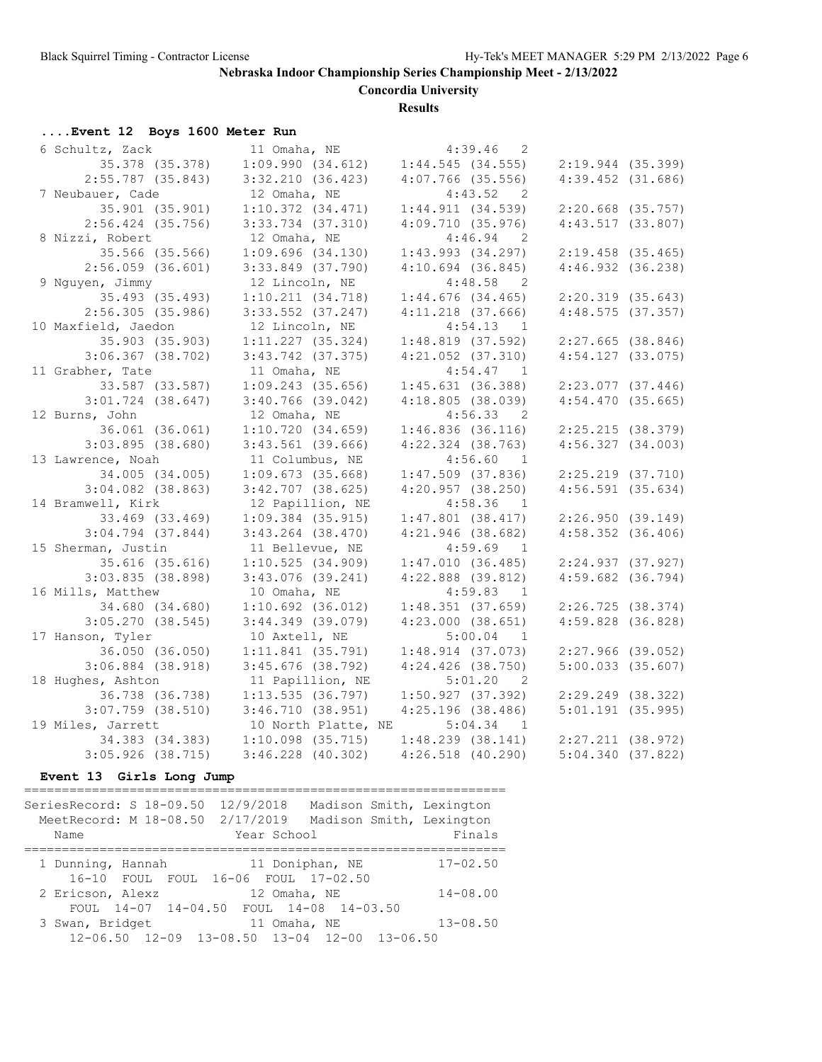**Concordia University**

**Results**

### **....Event 12 Boys 1600 Meter Run**

| 6 Schultz, Zack       | 11 Omaha, NE          | 4:39.46<br>$\overline{\phantom{0}}^2$ |                       |
|-----------------------|-----------------------|---------------------------------------|-----------------------|
| 35.378 (35.378)       | 1:09.990(34.612)      | 1:44.545(34.555)                      | $2:19.944$ (35.399)   |
| $2:55.787$ (35.843)   | 3:32.210(36.423)      | $4:07.766$ (35.556)                   | $4:39.452$ $(31.686)$ |
| 7 Neubauer, Cade      | 12 Omaha, NE          | $4:43.52$ 2                           |                       |
| 35.901 (35.901)       | 1:10.372(34.471)      | 1:44.911(34.539)                      | $2:20.668$ (35.757)   |
| $2:56.424$ (35.756)   | $3:33.734$ $(37.310)$ | 4:09.710(35.976)                      | 4:43.517(33.807)      |
| 8 Nizzi, Robert       | 12 Omaha, NE          | $4:46.94$ 2                           |                       |
| 35.566 (35.566)       | $1:09.696$ $(34.130)$ | $1:43.993$ (34.297)                   | $2:19.458$ (35.465)   |
| $2:56.059$ (36.601)   | $3:33.849$ (37.790)   | $4:10.694$ $(36.845)$                 | $4:46.932$ $(36.238)$ |
| 9 Nguyen, Jimmy       | 12 Lincoln, NE        | $4:48.58$ 2                           |                       |
| 35.493 (35.493)       | 1:10.211(34.718)      | $1:44.676$ (34.465)                   | $2:20.319$ (35.643)   |
| 2:56.305(35.986)      | $3:33.552$ $(37.247)$ | $4:11.218$ $(37.666)$                 | 4:48.575(37.357)      |
| 10 Maxfield, Jaedon   | 12 Lincoln, NE        | 4:54.13 1                             |                       |
| 35.903 (35.903)       | $1:11.227$ (35.324)   | $1:48.819$ (37.592)                   | $2:27.665$ (38.846)   |
| $3:06.367$ (38.702)   | $3:43.742$ (37.375)   | $4:21.052$ $(37.310)$                 | $4:54.127$ (33.075)   |
| 11 Grabher, Tate      | 11 Omaha, NE          | 4:54.47 1                             |                       |
| 33.587 (33.587)       | $1:09.243$ (35.656)   | 1:45.631(36.388)                      | $2:23.077$ (37.446)   |
| $3:01.724$ (38.647)   | $3:40.766$ (39.042)   | 4:18.805(38.039)                      | 4:54.470(35.665)      |
| 12 Burns, John        | 12 Omaha, NE          | 4:56.33 2                             |                       |
| 36.061 (36.061)       | 1:10.720(34.659)      | $1:46.836$ (36.116)                   | 2:25.215(38.379)      |
| $3:03.895$ (38.680)   | $3:43.561$ (39.666)   | $4:22.324$ $(38.763)$                 | 4:56.327(34.003)      |
| 13 Lawrence, Noah     | 11 Columbus, NE       | 4:56.60<br>$\overline{1}$             |                       |
| 34.005 (34.005)       | $1:09.673$ (35.668)   | $1:47.509$ (37.836)                   | $2:25.219$ (37.710)   |
| $3:04.082$ (38.863)   | $3:42.707$ (38.625)   | $4:20.957$ (38.250)                   | $4:56.591$ (35.634)   |
| 14 Bramwell, Kirk     | 12 Papillion, NE      | 4:58.36<br>$\overline{1}$             |                       |
| 33.469 (33.469)       | $1:09.384$ (35.915)   | $1:47.801$ (38.417)                   | 2:26.950(39.149)      |
| $3:04.794$ $(37.844)$ | $3:43.264$ (38.470)   | $4:21.946$ (38.682)                   | $4:58.352$ $(36.406)$ |
| 15 Sherman, Justin    | 11 Bellevue, NE       | $4:59.69$ 1                           |                       |
| 35.616 (35.616)       | 1:10.525(34.909)      | 1:47.010(36.485)                      | 2:24.937 (37.927)     |
| $3:03.835$ (38.898)   | $3:43.076$ (39.241)   | $4:22.888$ $(39.812)$                 | $4:59.682$ $(36.794)$ |
| 16 Mills, Matthew     | 10 Omaha, NE          | 4:59.83<br>$\overline{1}$             |                       |
| 34.680 (34.680)       | $1:10.692$ (36.012)   | $1:48.351$ (37.659)                   | $2:26.725$ (38.374)   |
| $3:05.270$ (38.545)   | $3:44.349$ (39.079)   | 4:23.000(38.651)                      | $4:59.828$ (36.828)   |
| 17 Hanson, Tyler      | 10 Axtell, NE         | $5:00.04$ 1                           |                       |
| 36.050 (36.050)       | $1:11.841$ (35.791)   | $1:48.914$ (37.073)                   | $2:27.966$ (39.052)   |
| $3:06.884$ (38.918)   | $3:45.676$ (38.792)   | $4:24.426$ (38.750)                   | $5:00.033$ $(35.607)$ |
| 18 Hughes, Ashton     | 11 Papillion, NE      | 5:01.20 2                             |                       |
| 36.738 (36.738)       | $1:13.535$ (36.797)   | 1:50.927(37.392)                      | $2:29.249$ (38.322)   |
| $3:07.759$ $(38.510)$ | 3:46.710(38.951)      | $4:25.196$ (38.486)                   | $5:01.191$ (35.995)   |
| 19 Miles, Jarrett     | 10 North Platte, NE   | 5:04.34<br>$\overline{1}$             |                       |
| 34.383 (34.383)       | $1:10.098$ (35.715)   | $1:48.239$ (38.141)                   | $2:27.211$ (38.972)   |
| $3:05.926$ (38.715)   | $3:46.228$ (40.302)   | $4:26.518$ $(40.290)$                 | 5:04.340(37.822)      |

### **Event 13 Girls Long Jump**

SeriesRecord: S 18-09.50 12/9/2018 Madison Smith, Lexington MeetRecord: M 18-08.50 2/17/2019 Madison Smith, Lexington Name Year School Finals ================================================================

================================================================

| 1 Dunning, Hannah |                                              | 11 Doniphan, NE |  | $17 - 02.50$ |
|-------------------|----------------------------------------------|-----------------|--|--------------|
|                   | 16-10 FOUL FOUL 16-06 FOUL 17-02.50          |                 |  |              |
| 2 Ericson, Alexz  |                                              | 12 Omaha, NE    |  | $14 - 08.00$ |
|                   | FOUL 14-07 14-04.50 FOUL 14-08 14-03.50      |                 |  |              |
| 3 Swan, Bridget   |                                              | 11 Omaha, NE    |  | $13 - 08.50$ |
|                   | 12-06.50 12-09 13-08.50 13-04 12-00 13-06.50 |                 |  |              |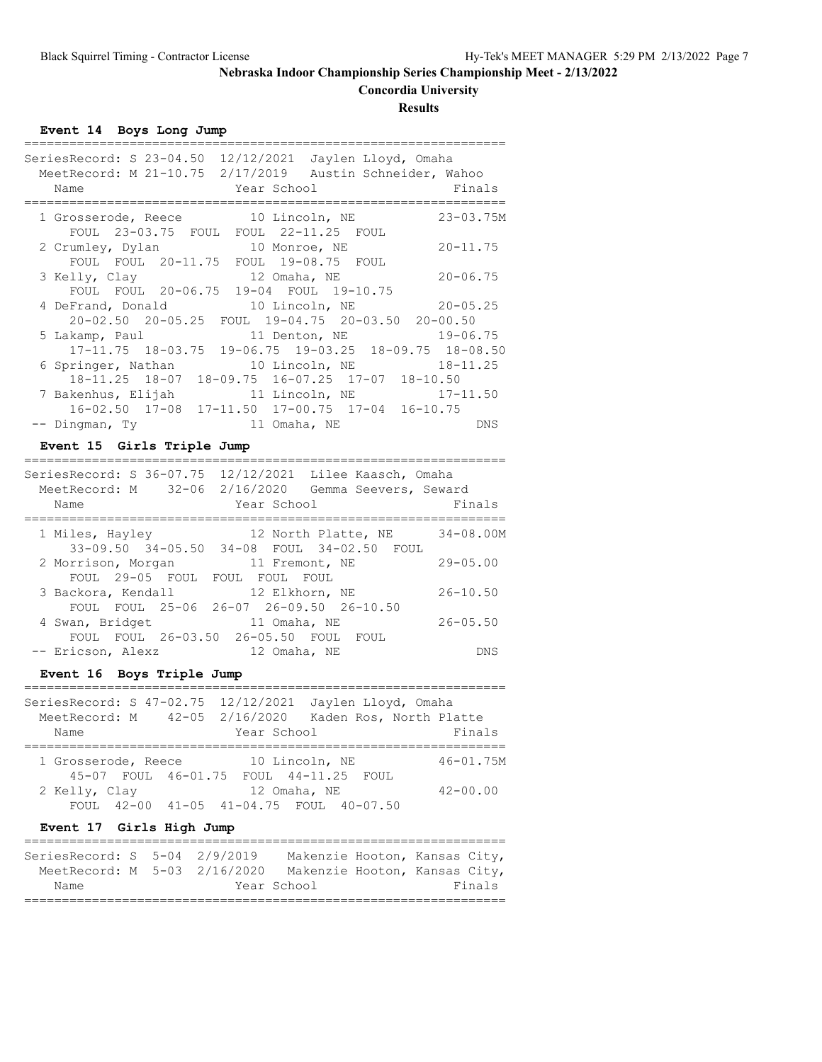## **Concordia University**

**Results**

**Event 14 Boys Long Jump**

| SeriesRecord: S 23-04.50<br>12/12/2021 Jaylen Lloyd, Omaha<br>MeetRecord: M 21-10.75 2/17/2019 Austin Schneider, Wahoo<br>Year School<br>Name | Finals        |
|-----------------------------------------------------------------------------------------------------------------------------------------------|---------------|
| 1 Grosserode, Reece 10 Lincoln, NE<br>FOUL 23-03.75 FOUL FOUL 22-11.25 FOUL                                                                   | $23 - 03.75M$ |
| 10 Monroe, NE<br>2 Crumley, Dylan<br>FOUL FOUL 20-11.75 FOUL 19-08.75 FOUL                                                                    | $20 - 11.75$  |
| 12 Omaha, NE<br>3 Kelly, Clay<br>FOUL FOUL 20-06.75 19-04 FOUL 19-10.75                                                                       | $20 - 06.75$  |
| 4 DeFrand, Donald 10 Lincoln, NE<br>20-02.50 20-05.25 FOUL 19-04.75 20-03.50 20-00.50                                                         | $20 - 05.25$  |
| 5 Lakamp, Paul<br>11 Denton, NE<br>$17-11.75$ $18-03.75$ $19-06.75$ $19-03.25$ $18-09.75$ $18-08.50$                                          | $19 - 06.75$  |
| 10 Lincoln, NE 18-11.25<br>6 Springer, Nathan<br>18-11.25 18-07 18-09.75 16-07.25 17-07 18-10.50                                              |               |
| 11 Lincoln, NE 17-11.50<br>7 Bakenhus, Elijah<br>$16-02.50$ $17-08$ $17-11.50$ $17-00.75$ $17-04$ $16-10.75$                                  |               |
| -- Dingman, Ty<br>11 Omaha, NE                                                                                                                | DNS           |

## **Event 15 Girls Triple Jump**

| SeriesRecord: S 36-07.75 12/12/2021 Lilee Kaasch, Omaha<br>MeetRecord: M 32-06 2/16/2020 Gemma Seevers, Seward<br>Year School<br>Name | Finals               |
|---------------------------------------------------------------------------------------------------------------------------------------|----------------------|
| 1 Miles, Hayley<br>12 North Platte, NE<br>33-09.50 34-05.50 34-08 FOUL 34-02.50 FOUL                                                  | $34 - 08.00M$        |
| 2 Morrison, Morgan<br>11 Fremont, NE<br>FOUL 29-05 FOUL FOUL FOUL FOUL                                                                | $29 - 05.00$         |
| 3 Backora, Kendall<br>12 Elkhorn, NE<br>FOUL FOUL 25-06 26-07 26-09.50 26-10.50                                                       | $26 - 10.50$         |
| 4 Swan, Bridget<br>11 Omaha, NE<br>FOUL FOUL 26-03.50 26-05.50 FOUL                                                                   | $26 - 05.50$<br>FOUL |
| -- Ericson, Alexz<br>12 Omaha, NE                                                                                                     | DNS                  |

### **Event 16 Boys Triple Jump**

|                               |                                        |                | SeriesRecord: S 47-02.75 12/12/2021 Jaylen Lloyd, Omaha |               |
|-------------------------------|----------------------------------------|----------------|---------------------------------------------------------|---------------|
| MeetRecord: M 42-05 2/16/2020 |                                        |                | Kaden Ros, North Platte                                 |               |
| Name                          |                                        | Year School    |                                                         | Finals        |
|                               |                                        |                |                                                         |               |
| 1 Grosserode, Reece           |                                        | 10 Lincoln, NE |                                                         | $46 - 01.75M$ |
|                               | 45-07 FOUL 46-01.75 FOUL 44-11.25 FOUL |                |                                                         |               |
| 2 Kelly, Clay                 |                                        | 12 Omaha, NE   |                                                         | $42 - 00.00$  |
|                               |                                        |                | FOUL 42-00 41-05 41-04.75 FOUL 40-07.50                 |               |

### **Event 17 Girls High Jump**

| SeriesRecord: S 5-04 2/9/2019 |  | Makenzie Hooton, Kansas City, |  |        |
|-------------------------------|--|-------------------------------|--|--------|
| MeetRecord: M 5-03 2/16/2020  |  | Makenzie Hooton, Kansas City, |  |        |
| Name                          |  | Year School                   |  | Finals |
|                               |  |                               |  |        |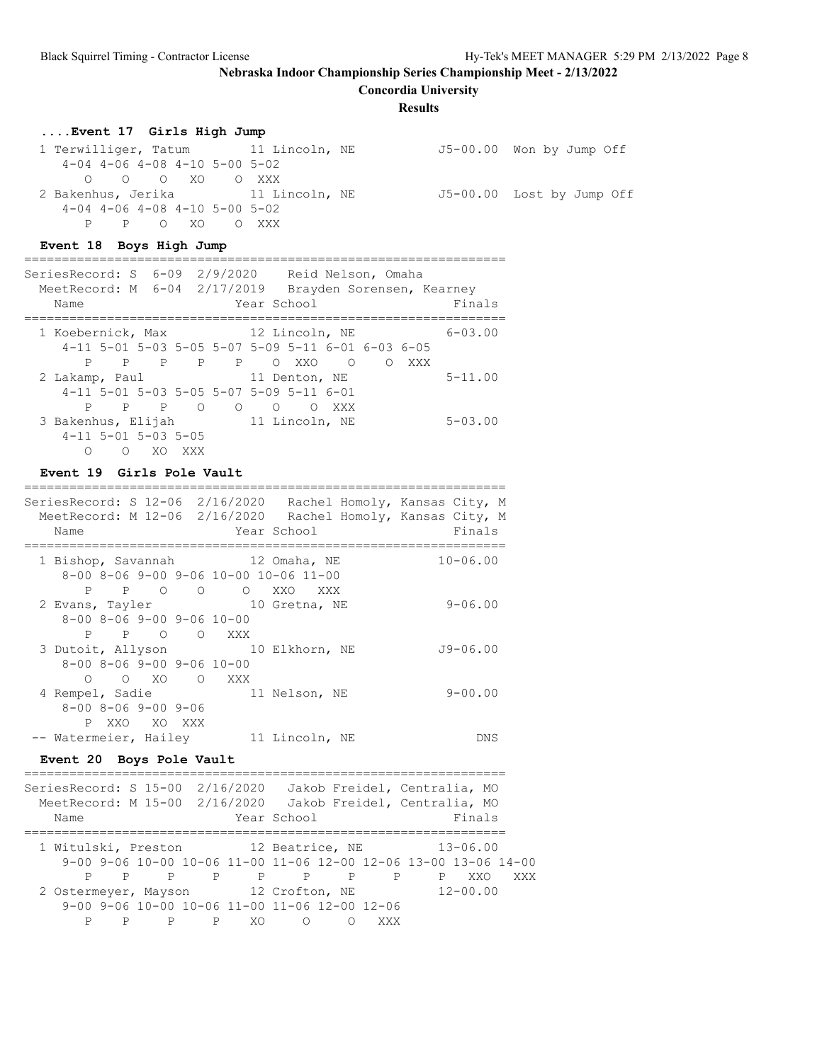**Concordia University**

#### **Results**

### **....Event 17 Girls High Jump**

1 Terwilliger, Tatum 11 Lincoln, NE 55-00.00 Won by Jump Off 4-04 4-06 4-08 4-10 5-00 5-02 O O O XO O XXX 2 Bakenhus, Jerika 11 Lincoln, NE J5-00.00 Lost by Jump Off 4-04 4-06 4-08 4-10 5-00 5-02 P P O XO O XXX

## **Event 18 Boys High Jump**

| SeriesRecord: S 6-09 2/9/2020 Reid Nelson, Omaha<br>MeetRecord: M 6-04 2/17/2019<br>Name |   |     |                                                     |                |         | Brayden Sorensen, Kearney<br>Year School |          |   |     | Finals         |
|------------------------------------------------------------------------------------------|---|-----|-----------------------------------------------------|----------------|---------|------------------------------------------|----------|---|-----|----------------|
| 1 Koebernick, Max                                                                        |   |     | $4-11$ 5-01 5-03 5-05 5-07 5-09 5-11 6-01 6-03 6-05 | 12 Lincoln, NE |         |                                          |          |   |     | $6 - 0.3$ , 00 |
| P                                                                                        | P |     | P P P                                               |                |         | O XXO                                    | $\Omega$ | ∩ | XXX |                |
| 2 Lakamp, Paul                                                                           |   |     | $4-11$ 5-01 5-03 5-05 5-07 5-09 5-11 6-01           |                |         | 11 Denton, NE                            |          |   |     | $5 - 11.00$    |
| P                                                                                        |   | P P | $\Omega$                                            | $\circ$        | $\circ$ | ∩                                        | XXX      |   |     |                |
| 3 Bakenhus, Elijah                                                                       |   |     |                                                     |                |         | 11 Lincoln, NE                           |          |   |     | $5 - 0.3$ , 00 |
| $4-11$ 5-01 5-03 5-05<br>∩                                                               | ∩ | XO. | XXX                                                 |                |         |                                          |          |   |     |                |

================================================================

## **Event 19 Girls Pole Vault**

| Name                                                                                              | SeriesRecord: S 12-06 2/16/2020 Rachel Homoly, Kansas City, M<br>MeetRecord: M 12-06 2/16/2020 Rachel Homoly, Kansas City, M<br>Year School | Finals       |
|---------------------------------------------------------------------------------------------------|---------------------------------------------------------------------------------------------------------------------------------------------|--------------|
| 1 Bishop, Savannah 12 Omaha, NE<br>$8-00$ $8-06$ $9-00$ $9-06$ $10-00$ $10-06$ $11-00$            | P P O O O XXO XXX                                                                                                                           | $10 - 06.00$ |
| 2 Evans, Tayler 10 Gretna, NE<br>$8-00$ $8-06$ $9-00$ $9-06$ $10-00$<br>P P O O XXX               |                                                                                                                                             | $9 - 06.00$  |
| 3 Dutoit, Allyson 10 Elkhorn, NE<br>$8 - 00$ $8 - 06$ $9 - 00$ $9 - 06$ $10 - 00$<br>O O XO O XXX |                                                                                                                                             | J9-06.00     |
| 4 Rempel, Sadie<br>$8 - 00$ $8 - 06$ $9 - 00$ $9 - 06$<br>P XXO XO XXX                            | 11 Nelson, NE                                                                                                                               | $9 - 00.00$  |
| -- Watermeier, Hailey 11 Lincoln, NE                                                              |                                                                                                                                             | DNS          |

### **Event 20 Boys Pole Vault**

| Name                                                                                                                           | SeriesRecord: S 15-00 2/16/2020 Jakob Freidel, Centralia, MO<br>MeetRecord: M 15-00 2/16/2020 Jakob Freidel, Centralia, MO<br>Finals<br>Year School                         |
|--------------------------------------------------------------------------------------------------------------------------------|-----------------------------------------------------------------------------------------------------------------------------------------------------------------------------|
| P<br>P.<br>P<br>P                                                                                                              | 1 Witulski, Preston 12 Beatrice, NE 13-06.00<br>$9-00$ $9-06$ 10-00 10-06 11-00 11-06 12-00 12-06 13-00 13-06 14-00<br>P<br>P<br>$\mathsf{P}$<br>$\mathbb{P}$<br>XXX<br>XXO |
| 2 Ostermeyer, Mayson 12 Crofton, NE<br>$9-00$ $9-06$ $10-00$ $10-06$ $11-00$ $11-06$ $12-00$ $12-06$<br>$\mathbf{P}$<br>P<br>P | $12 - 00.00$<br>XO.<br>$\bigcirc$<br>XXX                                                                                                                                    |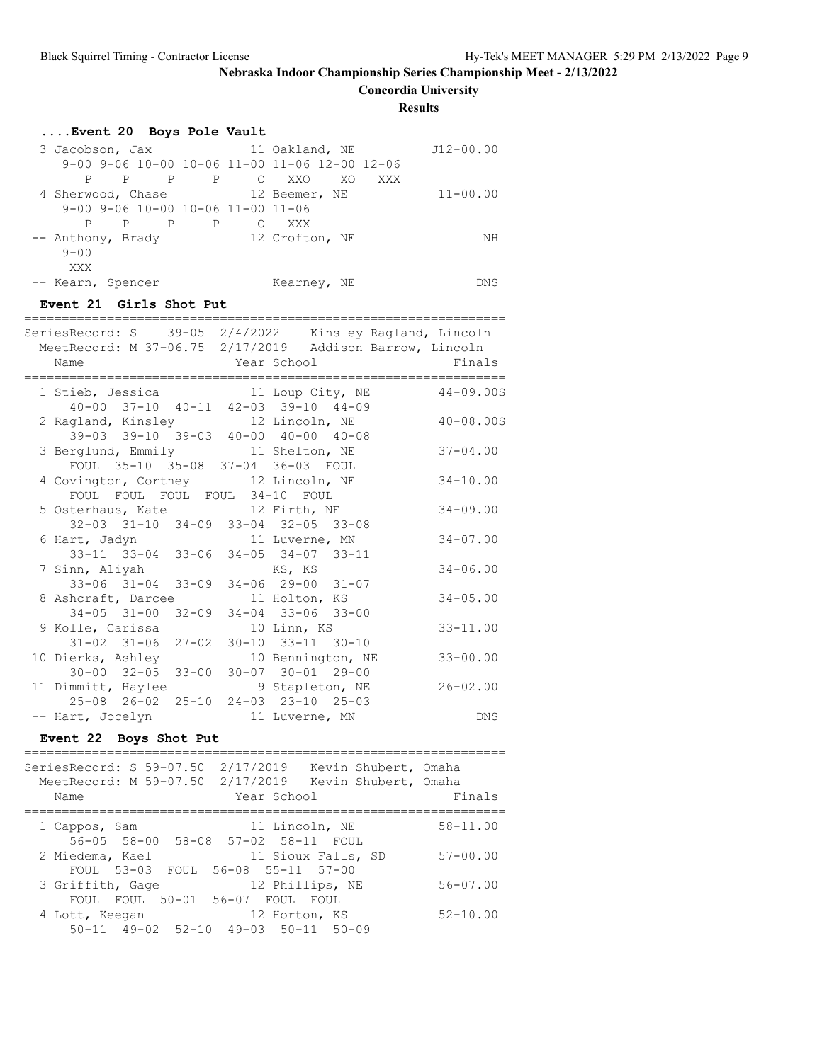**Concordia University**

**Results**

| Event 20 Boys Pole Vault                                                                                                    |                                                    |               |
|-----------------------------------------------------------------------------------------------------------------------------|----------------------------------------------------|---------------|
| 3 Jacobson, Jax 11 Oakland, NE<br>9-00 9-06 10-00 10-06 11-00 11-06 12-00 12-06<br>P P P P O XXO XO                         | XXX                                                | J12-00.00     |
| 4 Sherwood, Chase 12 Beemer, NE<br>9-00 9-06 10-00 10-06 11-00 11-06<br>P P P O XXX<br>$\mathbf{P}$                         |                                                    | $11 - 00.00$  |
| -- Anthony, Brady<br>$9 - 00$<br>XXX                                                                                        | 12 Crofton, NE                                     | ΝH            |
| -- Kearn, Spencer                                                                                                           | Kearney, NE                                        | DNS           |
| Event 21 Girls Shot Put                                                                                                     |                                                    |               |
| SeriesRecord: S 39-05 2/4/2022 Kinsley Ragland, Lincoln<br>MeetRecord: M 37-06.75 2/17/2019 Addison Barrow, Lincoln<br>Name | Year School                                        | Finals        |
| 1 Stieb, Jessica<br>40-00 37-10 40-11 42-03 39-10 44-09                                                                     | 11 Loup City, NE                                   | $44 - 09.00S$ |
| 2 Ragland, Kinsley 12 Lincoln, NE<br>39-03 39-10 39-03 40-00 40-00 40-08                                                    |                                                    | $40 - 08.00S$ |
| 3 Berglund, Emmily 11 Shelton, NE<br>FOUL 35-10 35-08 37-04 36-03 FOUL                                                      |                                                    | $37 - 04.00$  |
| 4 Covington, Cortney 12 Lincoln, NE<br>FOUL FOUL FOUL FOUL 34-10 FOUL                                                       |                                                    | $34 - 10.00$  |
| 5 Osterhaus, Kate 12 Firth, NE<br>32-03 31-10 34-09 33-04 32-05 33-08                                                       |                                                    | $34 - 09.00$  |
| 6 Hart, Jadyn<br>33-11 33-04 33-06 34-05 34-07 33-11                                                                        | 11 Luverne, MN                                     | $34 - 07.00$  |
| 7 Sinn, Aliyah<br>$33 - 06$ $31 - 04$ $33 - 09$                                                                             | KS, KS<br>$34 - 06$ 29-00 31-07                    | $34 - 06.00$  |
| 8 Ashcraft, Darcee<br>34-05 31-00 32-09                                                                                     | 11 Holton, KS<br>$34 - 04$ $33 - 06$ $33 - 00$     | $34 - 05.00$  |
| 9 Kolle, Carissa<br>31-02 31-06 27-02 30-10 33-11 30-10                                                                     | 10 Linn, KS                                        | $33 - 11.00$  |
| 10 Dierks, Ashley<br>$30 - 00$ $32 - 05$ $33 - 00$                                                                          | 10 Bennington, NE<br>$30 - 07$ $30 - 01$ $29 - 00$ | $33 - 00.00$  |
| 11 Dimmitt, Haylee<br>25-08 26-02 25-10                                                                                     | 9 Stapleton, NE<br>$24 - 03$ $23 - 10$ $25 - 03$   | $26 - 02.00$  |
| -- Hart, Jocelyn<br>Event 22 Boys Shot Put                                                                                  | 11 Luverne, MN                                     | DNS           |
| SeriesRecord: S 59-07.50 2/17/2019 Kevin Shubert, Omaha                                                                     |                                                    |               |
| MeetRecord: M 59-07.50 2/17/2019 Kevin Shubert, Omaha<br>Name                                                               | Year School                                        | Finals        |
| 1 Cappos, Sam<br>56-05 58-00 58-08 57-02 58-11 FOUL                                                                         | 11 Lincoln, NE                                     | $58 - 11.00$  |
| 2 Miedema, Kael<br>FOUL 53-03 FOUL 56-08 55-11 57-00                                                                        | 11 Sioux Falls, SD                                 | $57 - 00.00$  |
| 3 Griffith, Gage<br>FOUL FOUL 50-01 56-07 FOUL FOUL                                                                         | 12 Phillips, NE                                    | $56 - 07.00$  |
| 4 Lott, Keegan<br>50-11 49-02 52-10 49-03 50-11 50-09                                                                       | 12 Horton, KS                                      | $52 - 10.00$  |